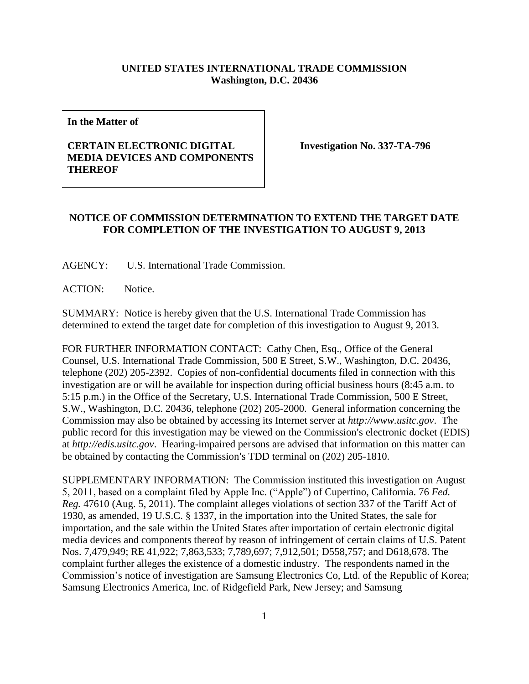## **UNITED STATES INTERNATIONAL TRADE COMMISSION Washington, D.C. 20436**

**In the Matter of**

## **CERTAIN ELECTRONIC DIGITAL MEDIA DEVICES AND COMPONENTS THEREOF**

**Investigation No. 337-TA-796**

## **NOTICE OF COMMISSION DETERMINATION TO EXTEND THE TARGET DATE FOR COMPLETION OF THE INVESTIGATION TO AUGUST 9, 2013**

AGENCY: U.S. International Trade Commission.

ACTION: Notice.

SUMMARY: Notice is hereby given that the U.S. International Trade Commission has determined to extend the target date for completion of this investigation to August 9, 2013.

FOR FURTHER INFORMATION CONTACT: Cathy Chen, Esq., Office of the General Counsel, U.S. International Trade Commission, 500 E Street, S.W., Washington, D.C. 20436, telephone (202) 205-2392. Copies of non-confidential documents filed in connection with this investigation are or will be available for inspection during official business hours (8:45 a.m. to 5:15 p.m.) in the Office of the Secretary, U.S. International Trade Commission, 500 E Street, S.W., Washington, D.C. 20436, telephone (202) 205-2000. General information concerning the Commission may also be obtained by accessing its Internet server at *http://www.usitc.gov*. The public record for this investigation may be viewed on the Commission's electronic docket (EDIS) at *http://edis.usitc.gov*. Hearing-impaired persons are advised that information on this matter can be obtained by contacting the Commission's TDD terminal on (202) 205-1810.

SUPPLEMENTARY INFORMATION: The Commission instituted this investigation on August 5, 2011, based on a complaint filed by Apple Inc. ("Apple") of Cupertino, California. 76 *Fed. Reg.* 47610 (Aug. 5, 2011). The complaint alleges violations of section 337 of the Tariff Act of 1930, as amended, 19 U.S.C. § 1337, in the importation into the United States, the sale for importation, and the sale within the United States after importation of certain electronic digital media devices and components thereof by reason of infringement of certain claims of U.S. Patent Nos. 7,479,949; RE 41,922; 7,863,533; 7,789,697; 7,912,501; D558,757; and D618,678. The complaint further alleges the existence of a domestic industry. The respondents named in the Commission's notice of investigation are Samsung Electronics Co, Ltd. of the Republic of Korea; Samsung Electronics America, Inc. of Ridgefield Park, New Jersey; and Samsung